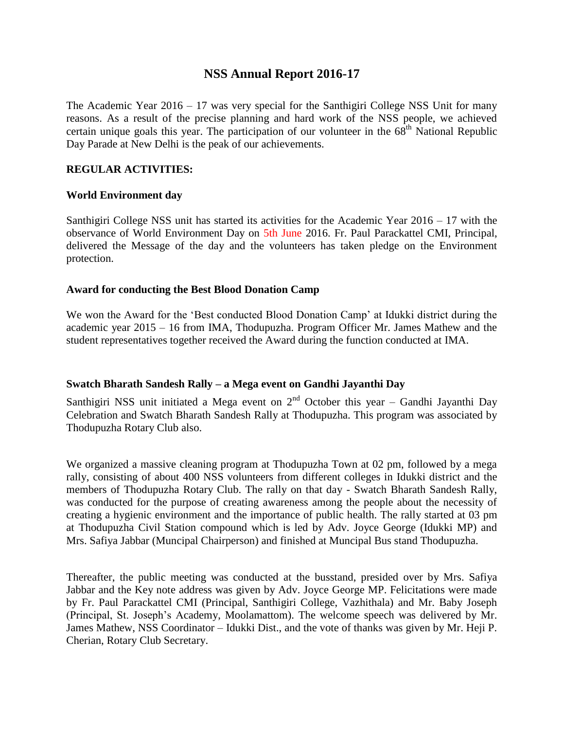# **NSS Annual Report 2016-17**

The Academic Year 2016 – 17 was very special for the Santhigiri College NSS Unit for many reasons. As a result of the precise planning and hard work of the NSS people, we achieved certain unique goals this year. The participation of our volunteer in the  $68<sup>th</sup>$  National Republic Day Parade at New Delhi is the peak of our achievements.

## **REGULAR ACTIVITIES:**

### **World Environment day**

Santhigiri College NSS unit has started its activities for the Academic Year 2016 – 17 with the observance of World Environment Day on 5th June 2016. Fr. Paul Parackattel CMI, Principal, delivered the Message of the day and the volunteers has taken pledge on the Environment protection.

### **Award for conducting the Best Blood Donation Camp**

We won the Award for the 'Best conducted Blood Donation Camp' at Idukki district during the academic year 2015 – 16 from IMA, Thodupuzha. Program Officer Mr. James Mathew and the student representatives together received the Award during the function conducted at IMA.

### **Swatch Bharath Sandesh Rally – a Mega event on Gandhi Jayanthi Day**

Santhigiri NSS unit initiated a Mega event on  $2<sup>nd</sup>$  October this year – Gandhi Jayanthi Day Celebration and Swatch Bharath Sandesh Rally at Thodupuzha. This program was associated by Thodupuzha Rotary Club also.

We organized a massive cleaning program at Thodupuzha Town at 02 pm, followed by a mega rally, consisting of about 400 NSS volunteers from different colleges in Idukki district and the members of Thodupuzha Rotary Club. The rally on that day - Swatch Bharath Sandesh Rally, was conducted for the purpose of creating awareness among the people about the necessity of creating a hygienic environment and the importance of public health. The rally started at 03 pm at Thodupuzha Civil Station compound which is led by Adv. Joyce George (Idukki MP) and Mrs. Safiya Jabbar (Muncipal Chairperson) and finished at Muncipal Bus stand Thodupuzha.

Thereafter, the public meeting was conducted at the busstand, presided over by Mrs. Safiya Jabbar and the Key note address was given by Adv. Joyce George MP. Felicitations were made by Fr. Paul Parackattel CMI (Principal, Santhigiri College, Vazhithala) and Mr. Baby Joseph (Principal, St. Joseph's Academy, Moolamattom). The welcome speech was delivered by Mr. James Mathew, NSS Coordinator – Idukki Dist., and the vote of thanks was given by Mr. Heji P. Cherian, Rotary Club Secretary.